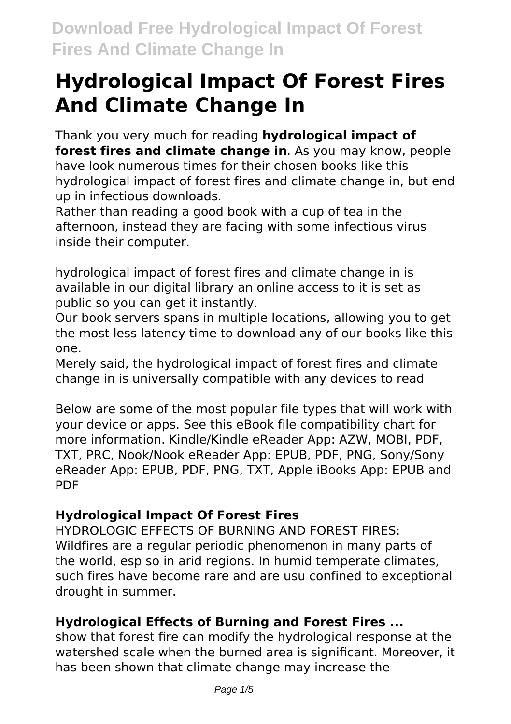# **Hydrological Impact Of Forest Fires And Climate Change In**

Thank you very much for reading **hydrological impact of forest fires and climate change in**. As you may know, people have look numerous times for their chosen books like this hydrological impact of forest fires and climate change in, but end up in infectious downloads.

Rather than reading a good book with a cup of tea in the afternoon, instead they are facing with some infectious virus inside their computer.

hydrological impact of forest fires and climate change in is available in our digital library an online access to it is set as public so you can get it instantly.

Our book servers spans in multiple locations, allowing you to get the most less latency time to download any of our books like this one.

Merely said, the hydrological impact of forest fires and climate change in is universally compatible with any devices to read

Below are some of the most popular file types that will work with your device or apps. See this eBook file compatibility chart for more information. Kindle/Kindle eReader App: AZW, MOBI, PDF, TXT, PRC, Nook/Nook eReader App: EPUB, PDF, PNG, Sony/Sony eReader App: EPUB, PDF, PNG, TXT, Apple iBooks App: EPUB and PDF

# **Hydrological Impact Of Forest Fires**

HYDROLOGIC EFFECTS OF BURNING AND FOREST FIRES: Wildfires are a regular periodic phenomenon in many parts of the world, esp so in arid regions. In humid temperate climates, such fires have become rare and are usu confined to exceptional drought in summer.

# **Hydrological Effects of Burning and Forest Fires ...**

show that forest fire can modify the hydrological response at the watershed scale when the burned area is significant. Moreover, it has been shown that climate change may increase the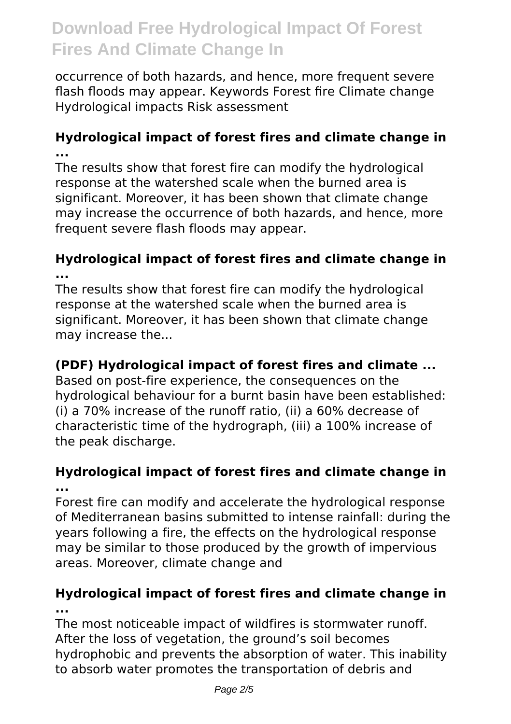occurrence of both hazards, and hence, more frequent severe flash floods may appear. Keywords Forest fire Climate change Hydrological impacts Risk assessment

## **Hydrological impact of forest fires and climate change in ...**

The results show that forest fire can modify the hydrological response at the watershed scale when the burned area is significant. Moreover, it has been shown that climate change may increase the occurrence of both hazards, and hence, more frequent severe flash floods may appear.

### **Hydrological impact of forest fires and climate change in ...**

The results show that forest fire can modify the hydrological response at the watershed scale when the burned area is significant. Moreover, it has been shown that climate change may increase the...

# **(PDF) Hydrological impact of forest fires and climate ...**

Based on post-fire experience, the consequences on the hydrological behaviour for a burnt basin have been established: (i) a 70% increase of the runoff ratio, (ii) a 60% decrease of characteristic time of the hydrograph, (iii) a 100% increase of the peak discharge.

#### **Hydrological impact of forest fires and climate change in ...**

Forest fire can modify and accelerate the hydrological response of Mediterranean basins submitted to intense rainfall: during the years following a fire, the effects on the hydrological response may be similar to those produced by the growth of impervious areas. Moreover, climate change and

# **Hydrological impact of forest fires and climate change in ...**

The most noticeable impact of wildfires is stormwater runoff. After the loss of vegetation, the ground's soil becomes hydrophobic and prevents the absorption of water. This inability to absorb water promotes the transportation of debris and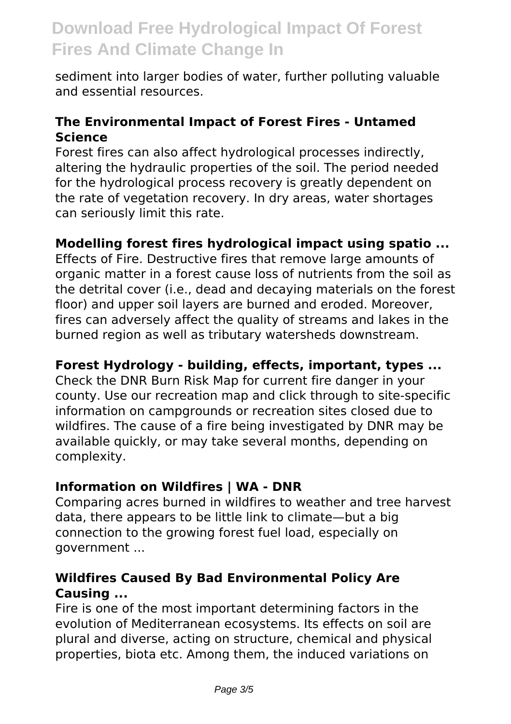sediment into larger bodies of water, further polluting valuable and essential resources.

#### **The Environmental Impact of Forest Fires - Untamed Science**

Forest fires can also affect hydrological processes indirectly, altering the hydraulic properties of the soil. The period needed for the hydrological process recovery is greatly dependent on the rate of vegetation recovery. In dry areas, water shortages can seriously limit this rate.

#### **Modelling forest fires hydrological impact using spatio ...**

Effects of Fire. Destructive fires that remove large amounts of organic matter in a forest cause loss of nutrients from the soil as the detrital cover (i.e., dead and decaying materials on the forest floor) and upper soil layers are burned and eroded. Moreover, fires can adversely affect the quality of streams and lakes in the burned region as well as tributary watersheds downstream.

#### **Forest Hydrology - building, effects, important, types ...**

Check the DNR Burn Risk Map for current fire danger in your county. Use our recreation map and click through to site-specific information on campgrounds or recreation sites closed due to wildfires. The cause of a fire being investigated by DNR may be available quickly, or may take several months, depending on complexity.

#### **Information on Wildfires | WA - DNR**

Comparing acres burned in wildfires to weather and tree harvest data, there appears to be little link to climate—but a big connection to the growing forest fuel load, especially on government ...

#### **Wildfires Caused By Bad Environmental Policy Are Causing ...**

Fire is one of the most important determining factors in the evolution of Mediterranean ecosystems. Its effects on soil are plural and diverse, acting on structure, chemical and physical properties, biota etc. Among them, the induced variations on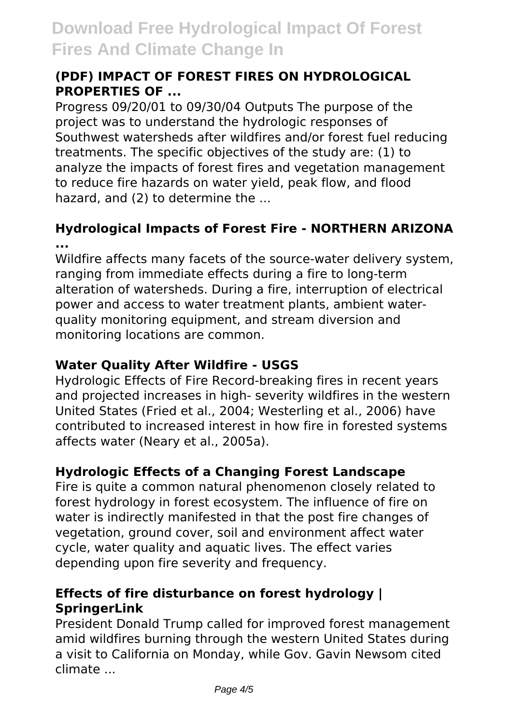### **(PDF) IMPACT OF FOREST FIRES ON HYDROLOGICAL PROPERTIES OF ...**

Progress 09/20/01 to 09/30/04 Outputs The purpose of the project was to understand the hydrologic responses of Southwest watersheds after wildfires and/or forest fuel reducing treatments. The specific objectives of the study are: (1) to analyze the impacts of forest fires and vegetation management to reduce fire hazards on water yield, peak flow, and flood hazard, and (2) to determine the ...

## **Hydrological Impacts of Forest Fire - NORTHERN ARIZONA ...**

Wildfire affects many facets of the source-water delivery system, ranging from immediate effects during a fire to long-term alteration of watersheds. During a fire, interruption of electrical power and access to water treatment plants, ambient waterquality monitoring equipment, and stream diversion and monitoring locations are common.

### **Water Quality After Wildfire - USGS**

Hydrologic Effects of Fire Record-breaking fires in recent years and projected increases in high- severity wildfires in the western United States (Fried et al., 2004; Westerling et al., 2006) have contributed to increased interest in how fire in forested systems affects water (Neary et al., 2005a).

# **Hydrologic Effects of a Changing Forest Landscape**

Fire is quite a common natural phenomenon closely related to forest hydrology in forest ecosystem. The influence of fire on water is indirectly manifested in that the post fire changes of vegetation, ground cover, soil and environment affect water cycle, water quality and aquatic lives. The effect varies depending upon fire severity and frequency.

# **Effects of fire disturbance on forest hydrology | SpringerLink**

President Donald Trump called for improved forest management amid wildfires burning through the western United States during a visit to California on Monday, while Gov. Gavin Newsom cited climate ...